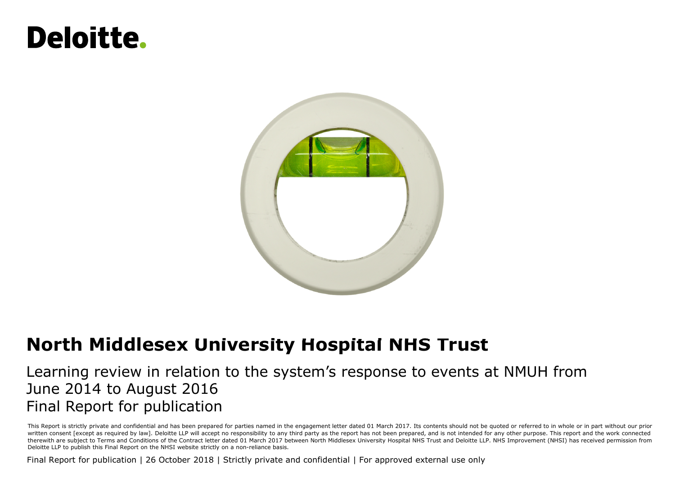## Deloitte.



## **North Middlesex University Hospital NHS Trust**

## Learning review in relation to the system's response to events at NMUH from June 2014 to August 2016 Final Report for publication

This Report is strictly private and confidential and has been prepared for parties named in the engagement letter dated 01 March 2017. Its contents should not be quoted or referred to in whole or in part without our prior written consent [except as required by law]. Deloitte LLP will accept no responsibility to any third party as the report has not been prepared, and is not intended for any other purpose. This report and the work connected therewith are subject to Terms and Conditions of the Contract letter dated 01 March 2017 between North Middlesex University Hospital NHS Trust and Deloitte LLP. NHS Improvement (NHSI) has received permission from Deloitte LLP to publish this Final Report on the NHSI website strictly on a non-reliance basis.

Final Report for publication | 26 October 2018 | Strictly private and confidential | For approved external use only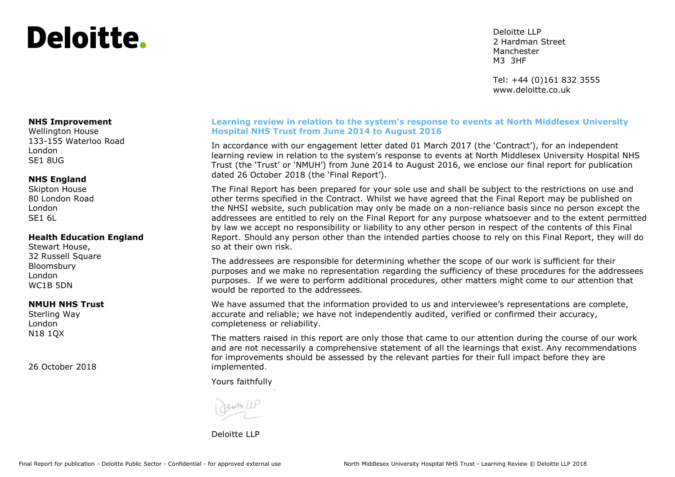## Deloitte.

Deloitte LLP 2 Hardman Street **Manchester** M3 3HF

Tel: +44 (0)161 832 3555 www.deloitte.co.uk

#### **NHS Improvement**

Wellington House 133-155 Waterloo Road London SE1 8UG

#### **NHS England**

Skipton House 80 London Road London SE1 6L

#### **Health Education England**

Stewart House, 32 Russell Square Bloomsbury London WC1B 5DN

#### **NMUH NHS Trust**

Sterling Way London N18 1QX

26 October 2018

#### **Learning review in relation to the system's response to events at North Middlesex University Hospital NHS Trust from June 2014 to August 2016**

In accordance with our engagement letter dated 01 March 2017 (the 'Contract'), for an independent learning review in relation to the system's response to events at North Middlesex University Hospital NHS Trust (the 'Trust' or 'NMUH') from June 2014 to August 2016, we enclose our final report for publication dated 26 October 2018 (the 'Final Report').

The Final Report has been prepared for your sole use and shall be subject to the restrictions on use and other terms specified in the Contract. Whilst we have agreed that the Final Report may be published on the NHSI website, such publication may only be made on a non-reliance basis since no person except the addressees are entitled to rely on the Final Report for any purpose whatsoever and to the extent permitted by law we accept no responsibility or liability to any other person in respect of the contents of this Final Report. Should any person other than the intended parties choose to rely on this Final Report, they will do so at their own risk.

The addressees are responsible for determining whether the scope of our work is sufficient for their purposes and we make no representation regarding the sufficiency of these procedures for the addressees purposes. If we were to perform additional procedures, other matters might come to our attention that would be reported to the addressees.

We have assumed that the information provided to us and interviewee's representations are complete, accurate and reliable; we have not independently audited, verified or confirmed their accuracy, completeness or reliability.

The matters raised in this report are only those that came to our attention during the course of our work and are not necessarily a comprehensive statement of all the learnings that exist. Any recommendations for improvements should be assessed by the relevant parties for their full impact before they are implemented.

Yours faithfully

Deloitte LLP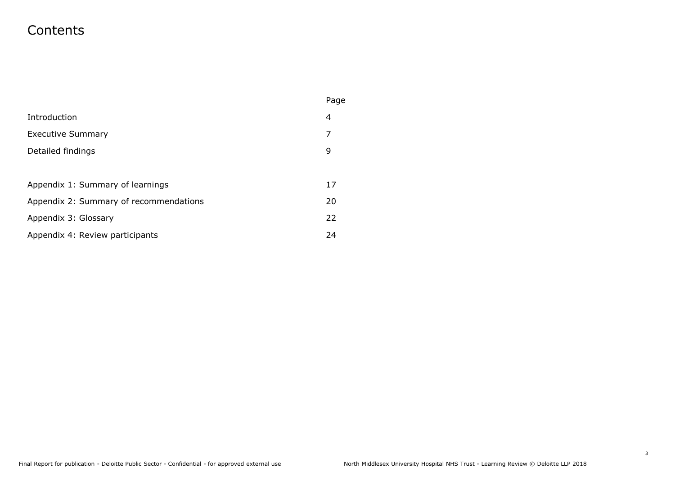## **Contents**

|                                        | Page |
|----------------------------------------|------|
| Introduction                           | 4    |
| <b>Executive Summary</b>               | 7    |
| Detailed findings                      |      |
|                                        |      |
| Appendix 1: Summary of learnings       | 17   |
| Appendix 2: Summary of recommendations | 20   |
| Appendix 3: Glossary                   | 22   |
| Appendix 4: Review participants        | 24   |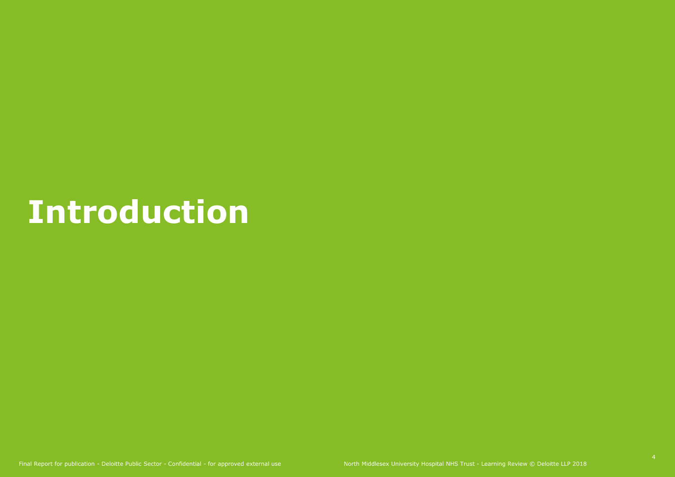## **Introduction**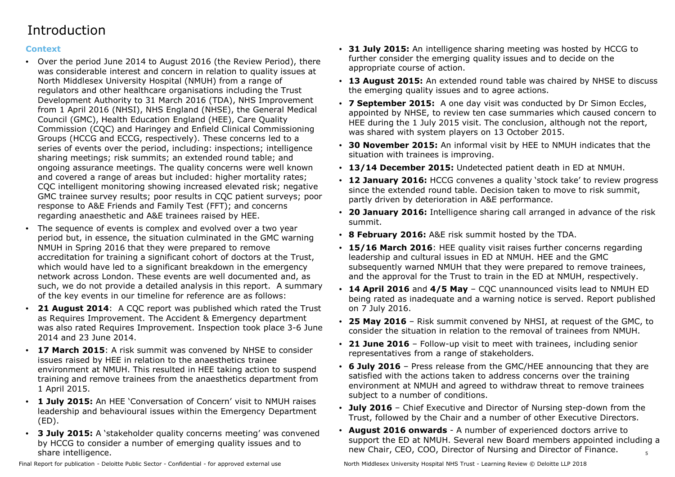## **Introduction**

## **Context**

- Over the period June 2014 to August 2016 (the Review Period), there was considerable interest and concern in relation to quality issues at North Middlesex University Hospital (NMUH) from a range of regulators and other healthcare organisations including the Trust Development Authority to 31 March 2016 (TDA), NHS Improvement from 1 April 2016 (NHSI), NHS England (NHSE), the General Medical Council (GMC), Health Education England (HEE), Care Quality Commission (CQC) and Haringey and Enfield Clinical Commissioning Groups (HCCG and ECCG, respectively). These concerns led to a series of events over the period, including: inspections; intelligence sharing meetings; risk summits; an extended round table; and ongoing assurance meetings. The quality concerns were well known and covered a range of areas but included: higher mortality rates; CQC intelligent monitoring showing increased elevated risk; negative GMC trainee survey results; poor results in CQC patient surveys; poor response to A&E Friends and Family Test (FFT); and concerns regarding anaesthetic and A&E trainees raised by HEE.
- The sequence of events is complex and evolved over a two year period but, in essence, the situation culminated in the GMC warning NMUH in Spring 2016 that they were prepared to remove accreditation for training a significant cohort of doctors at the Trust, which would have led to a significant breakdown in the emergency network across London. These events are well documented and, as such, we do not provide a detailed analysis in this report. A summary of the key events in our timeline for reference are as follows:
- **21 August 2014**: A CQC report was published which rated the Trust as Requires Improvement. The Accident & Emergency department was also rated Requires Improvement. Inspection took place 3-6 June 2014 and 23 June 2014.
- **17 March 2015**: A risk summit was convened by NHSE to consider issues raised by HEE in relation to the anaesthetics trainee environment at NMUH. This resulted in HEE taking action to suspend training and remove trainees from the anaesthetics department from 1 April 2015.
- **1 July 2015:** An HEE 'Conversation of Concern' visit to NMUH raises leadership and behavioural issues within the Emergency Department (ED).
- **3 July 2015:** A 'stakeholder quality concerns meeting' was convened by HCCG to consider a number of emerging quality issues and to share intelligence.
- **31 July 2015:** An intelligence sharing meeting was hosted by HCCG to further consider the emerging quality issues and to decide on the appropriate course of action.
- **13 August 2015:** An extended round table was chaired by NHSE to discuss the emerging quality issues and to agree actions.
- **7 September 2015:** A one day visit was conducted by Dr Simon Eccles, appointed by NHSE, to review ten case summaries which caused concern to HEE during the 1 July 2015 visit. The conclusion, although not the report, was shared with system players on 13 October 2015.
- **30 November 2015:** An informal visit by HEE to NMUH indicates that the situation with trainees is improving.
- **13/14 December 2015:** Undetected patient death in ED at NMUH.
- **12 January 2016:** HCCG convenes a quality 'stock take' to review progress since the extended round table. Decision taken to move to risk summit, partly driven by deterioration in A&E performance.
- **20 January 2016:** Intelligence sharing call arranged in advance of the risk summit.
- **8 February 2016:** A&E risk summit hosted by the TDA.
- **15/16 March 2016**: HEE quality visit raises further concerns regarding leadership and cultural issues in ED at NMUH. HEE and the GMC subsequently warned NMUH that they were prepared to remove trainees, and the approval for the Trust to train in the ED at NMUH, respectively.
- **14 April 2016** and **4/5 May**  CQC unannounced visits lead to NMUH ED being rated as inadequate and a warning notice is served. Report published on 7 July 2016.
- **25 May 2016**  Risk summit convened by NHSI, at request of the GMC, to consider the situation in relation to the removal of trainees from NMUH.
- **21 June 2016**  Follow-up visit to meet with trainees, including senior representatives from a range of stakeholders.
- **6 July 2016**  Press release from the GMC/HEE announcing that they are satisfied with the actions taken to address concerns over the training environment at NMUH and agreed to withdraw threat to remove trainees subject to a number of conditions.
- **July 2016**  Chief Executive and Director of Nursing step-down from the Trust, followed by the Chair and a number of other Executive Directors.
- 5 • **August 2016 onwards** - A number of experienced doctors arrive to support the ED at NMUH. Several new Board members appointed including a new Chair, CEO, COO, Director of Nursing and Director of Finance.

Final Report for publication - Deloitte Public Sector - Confidential - for approved external use North Middlesex University Hospital NHS Trust - Learning Review © Deloitte LLP 2018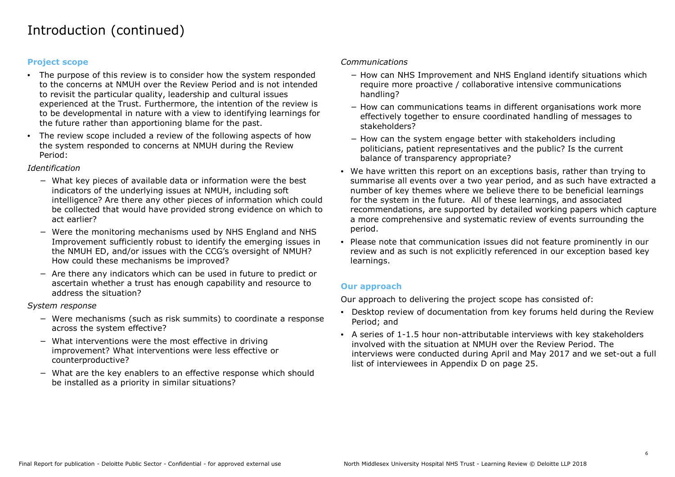## Introduction (continued)

#### **Project scope**

- The purpose of this review is to consider how the system responded to the concerns at NMUH over the Review Period and is not intended to revisit the particular quality, leadership and cultural issues experienced at the Trust. Furthermore, the intention of the review is to be developmental in nature with a view to identifying learnings for the future rather than apportioning blame for the past.
- The review scope included a review of the following aspects of how the system responded to concerns at NMUH during the Review Period:

#### *Identification*

- − What key pieces of available data or information were the best indicators of the underlying issues at NMUH, including soft intelligence? Are there any other pieces of information which could be collected that would have provided strong evidence on which to act earlier?
- − Were the monitoring mechanisms used by NHS England and NHS Improvement sufficiently robust to identify the emerging issues in the NMUH ED, and/or issues with the CCG's oversight of NMUH? How could these mechanisms be improved?
- − Are there any indicators which can be used in future to predict or ascertain whether a trust has enough capability and resource to address the situation?

#### *System response*

- − Were mechanisms (such as risk summits) to coordinate a response across the system effective?
- − What interventions were the most effective in driving improvement? What interventions were less effective or counterproductive?
- − What are the key enablers to an effective response which should be installed as a priority in similar situations?

#### *Communications*

- − How can NHS Improvement and NHS England identify situations which require more proactive / collaborative intensive communications handling?
- − How can communications teams in different organisations work more effectively together to ensure coordinated handling of messages to stakeholders?
- − How can the system engage better with stakeholders including politicians, patient representatives and the public? Is the current balance of transparency appropriate?
- We have written this report on an exceptions basis, rather than trying to summarise all events over a two year period, and as such have extracted a number of key themes where we believe there to be beneficial learnings for the system in the future. All of these learnings, and associated recommendations, are supported by detailed working papers which capture a more comprehensive and systematic review of events surrounding the period.
- Please note that communication issues did not feature prominently in our review and as such is not explicitly referenced in our exception based key learnings.

#### **Our approach**

Our approach to delivering the project scope has consisted of:

- Desktop review of documentation from key forums held during the Review Period; and
- A series of 1-1.5 hour non-attributable interviews with key stakeholders involved with the situation at NMUH over the Review Period. The interviews were conducted during April and May 2017 and we set-out a full list of interviewees in Appendix D on page 25.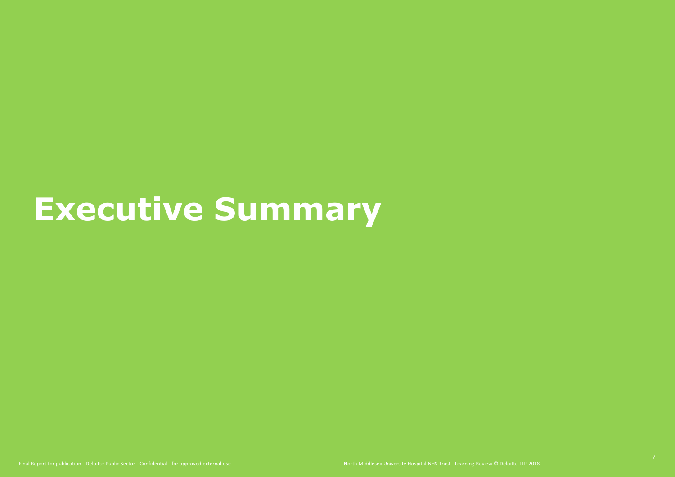# **Executive Summary**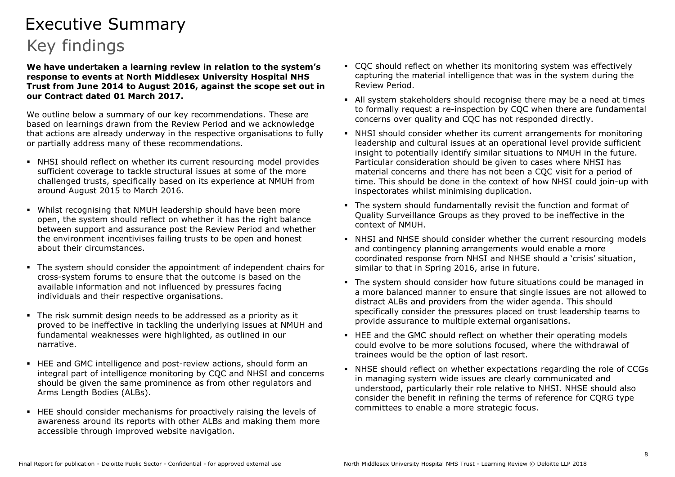## Executive Summary Key findings

**We have undertaken a learning review in relation to the system's response to events at North Middlesex University Hospital NHS Trust from June 2014 to August 2016, against the scope set out in our Contract dated 01 March 2017.**

We outline below a summary of our key recommendations. These are based on learnings drawn from the Review Period and we acknowledge that actions are already underway in the respective organisations to fully or partially address many of these recommendations.

- NHSI should reflect on whether its current resourcing model provides sufficient coverage to tackle structural issues at some of the more challenged trusts, specifically based on its experience at NMUH from around August 2015 to March 2016.
- Whilst recognising that NMUH leadership should have been more open, the system should reflect on whether it has the right balance between support and assurance post the Review Period and whether the environment incentivises failing trusts to be open and honest about their circumstances.
- The system should consider the appointment of independent chairs for cross-system forums to ensure that the outcome is based on the available information and not influenced by pressures facing individuals and their respective organisations.
- The risk summit design needs to be addressed as a priority as it proved to be ineffective in tackling the underlying issues at NMUH and fundamental weaknesses were highlighted, as outlined in our narrative.
- HEE and GMC intelligence and post-review actions, should form an integral part of intelligence monitoring by CQC and NHSI and concerns should be given the same prominence as from other regulators and Arms Length Bodies (ALBs).
- **HEE** should consider mechanisms for proactively raising the levels of awareness around its reports with other ALBs and making them more accessible through improved website navigation.
- CQC should reflect on whether its monitoring system was effectively capturing the material intelligence that was in the system during the Review Period.
- All system stakeholders should recognise there may be a need at times to formally request a re-inspection by CQC when there are fundamental concerns over quality and CQC has not responded directly.
- NHSI should consider whether its current arrangements for monitoring leadership and cultural issues at an operational level provide sufficient insight to potentially identify similar situations to NMUH in the future. Particular consideration should be given to cases where NHSI has material concerns and there has not been a CQC visit for a period of time. This should be done in the context of how NHSI could join-up with inspectorates whilst minimising duplication.
- The system should fundamentally revisit the function and format of Quality Surveillance Groups as they proved to be ineffective in the context of NMUH.
- NHSI and NHSE should consider whether the current resourcing models and contingency planning arrangements would enable a more coordinated response from NHSI and NHSE should a 'crisis' situation, similar to that in Spring 2016, arise in future.
- The system should consider how future situations could be managed in a more balanced manner to ensure that single issues are not allowed to distract ALBs and providers from the wider agenda. This should specifically consider the pressures placed on trust leadership teams to provide assurance to multiple external organisations.
- HEE and the GMC should reflect on whether their operating models could evolve to be more solutions focused, where the withdrawal of trainees would be the option of last resort.
- NHSE should reflect on whether expectations regarding the role of CCGs in managing system wide issues are clearly communicated and understood, particularly their role relative to NHSI. NHSE should also consider the benefit in refining the terms of reference for CQRG type committees to enable a more strategic focus.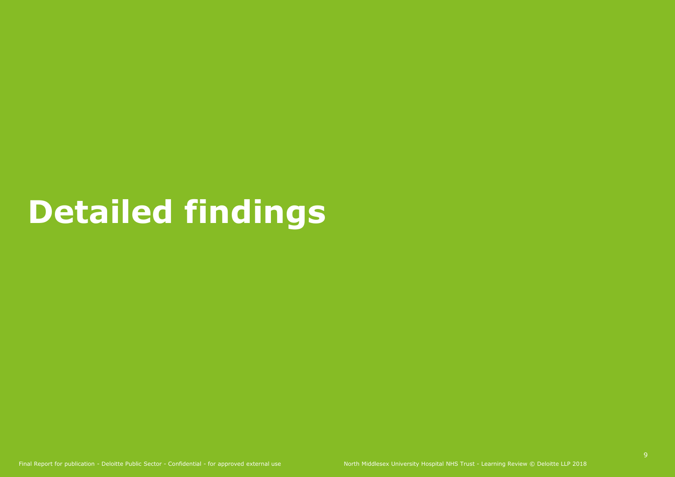# **Detailed findings**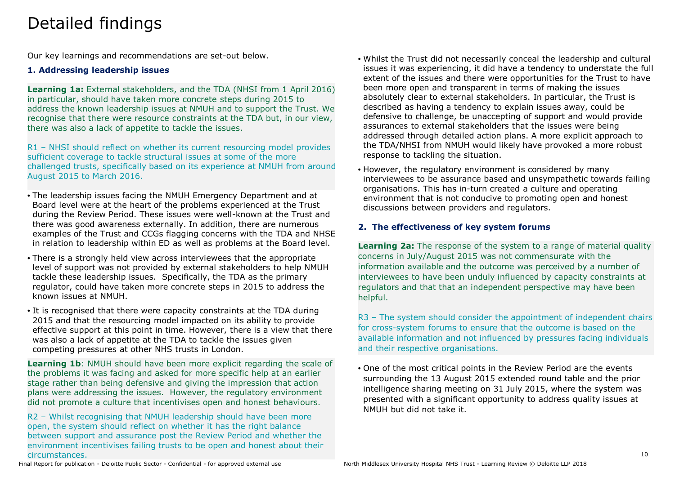## Detailed findings

Our key learnings and recommendations are set-out below.

## **1. Addressing leadership issues**

**Learning 1a:** External stakeholders, and the TDA (NHSI from 1 April 2016) in particular, should have taken more concrete steps during 2015 to address the known leadership issues at NMUH and to support the Trust. We recognise that there were resource constraints at the TDA but, in our view, there was also a lack of appetite to tackle the issues.

R1 – NHSI should reflect on whether its current resourcing model provides sufficient coverage to tackle structural issues at some of the more challenged trusts, specifically based on its experience at NMUH from around August 2015 to March 2016.

- The leadership issues facing the NMUH Emergency Department and at Board level were at the heart of the problems experienced at the Trust during the Review Period. These issues were well-known at the Trust and there was good awareness externally. In addition, there are numerous examples of the Trust and CCGs flagging concerns with the TDA and NHSE in relation to leadership within ED as well as problems at the Board level.
- There is a strongly held view across interviewees that the appropriate level of support was not provided by external stakeholders to help NMUH tackle these leadership issues. Specifically, the TDA as the primary regulator, could have taken more concrete steps in 2015 to address the known issues at NMUH.
- It is recognised that there were capacity constraints at the TDA during 2015 and that the resourcing model impacted on its ability to provide effective support at this point in time. However, there is a view that there was also a lack of appetite at the TDA to tackle the issues given competing pressures at other NHS trusts in London.

**Learning 1b**: NMUH should have been more explicit regarding the scale of the problems it was facing and asked for more specific help at an earlier stage rather than being defensive and giving the impression that action plans were addressing the issues. However, the regulatory environment did not promote a culture that incentivises open and honest behaviours.

R2 – Whilst recognising that NMUH leadership should have been more open, the system should reflect on whether it has the right balance between support and assurance post the Review Period and whether the environment incentivises failing trusts to be open and honest about their circumstances.

- Whilst the Trust did not necessarily conceal the leadership and cultural issues it was experiencing, it did have a tendency to understate the full extent of the issues and there were opportunities for the Trust to have been more open and transparent in terms of making the issues absolutely clear to external stakeholders. In particular, the Trust is described as having a tendency to explain issues away, could be defensive to challenge, be unaccepting of support and would provide assurances to external stakeholders that the issues were being addressed through detailed action plans. A more explicit approach to the TDA/NHSI from NMUH would likely have provoked a more robust response to tackling the situation.
- However, the regulatory environment is considered by many interviewees to be assurance based and unsympathetic towards failing organisations. This has in-turn created a culture and operating environment that is not conducive to promoting open and honest discussions between providers and regulators.

## **2. The effectiveness of key system forums**

**Learning 2a:** The response of the system to a range of material quality concerns in July/August 2015 was not commensurate with the information available and the outcome was perceived by a number of interviewees to have been unduly influenced by capacity constraints at regulators and that that an independent perspective may have been helpful.

R3 - The system should consider the appointment of independent chairs for cross-system forums to ensure that the outcome is based on the available information and not influenced by pressures facing individuals and their respective organisations.

• One of the most critical points in the Review Period are the events surrounding the 13 August 2015 extended round table and the prior intelligence sharing meeting on 31 July 2015, where the system was presented with a significant opportunity to address quality issues at NMUH but did not take it.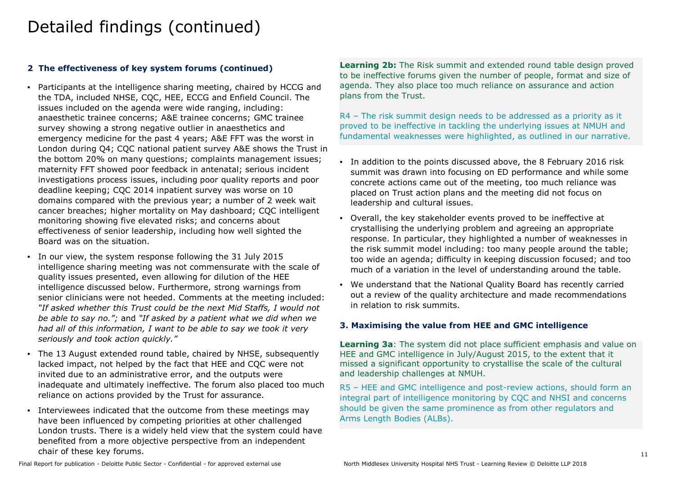## **2 The effectiveness of key system forums (continued)**

- Participants at the intelligence sharing meeting, chaired by HCCG and the TDA, included NHSE, CQC, HEE, ECCG and Enfield Council. The issues included on the agenda were wide ranging, including: anaesthetic trainee concerns; A&E trainee concerns; GMC trainee survey showing a strong negative outlier in anaesthetics and emergency medicine for the past 4 years; A&E FFT was the worst in London during Q4; CQC national patient survey A&E shows the Trust in the bottom 20% on many questions; complaints management issues; maternity FFT showed poor feedback in antenatal; serious incident investigations process issues, including poor quality reports and poor deadline keeping; CQC 2014 inpatient survey was worse on 10 domains compared with the previous year; a number of 2 week wait cancer breaches; higher mortality on May dashboard; CQC intelligent monitoring showing five elevated risks; and concerns about effectiveness of senior leadership, including how well sighted the Board was on the situation.
- In our view, the system response following the 31 July 2015 intelligence sharing meeting was not commensurate with the scale of quality issues presented, even allowing for dilution of the HEE intelligence discussed below. Furthermore, strong warnings from senior clinicians were not heeded. Comments at the meeting included: *"If asked whether this Trust could be the next Mid Staffs, I would not be able to say no.";* and *"If asked by a patient what we did when we had all of this information, I want to be able to say we took it very seriously and took action quickly."*
- The 13 August extended round table, chaired by NHSE, subsequently lacked impact, not helped by the fact that HEE and CQC were not invited due to an administrative error, and the outputs were inadequate and ultimately ineffective. The forum also placed too much reliance on actions provided by the Trust for assurance.
- Interviewees indicated that the outcome from these meetings may have been influenced by competing priorities at other challenged London trusts. There is a widely held view that the system could have benefited from a more objective perspective from an independent chair of these key forums.

Learning 2b: The Risk summit and extended round table design proved to be ineffective forums given the number of people, format and size of agenda. They also place too much reliance on assurance and action plans from the Trust.

R4 – The risk summit design needs to be addressed as a priority as it proved to be ineffective in tackling the underlying issues at NMUH and fundamental weaknesses were highlighted, as outlined in our narrative.

- In addition to the points discussed above, the 8 February 2016 risk summit was drawn into focusing on ED performance and while some concrete actions came out of the meeting, too much reliance was placed on Trust action plans and the meeting did not focus on leadership and cultural issues.
- Overall, the key stakeholder events proved to be ineffective at crystallising the underlying problem and agreeing an appropriate response. In particular, they highlighted a number of weaknesses in the risk summit model including: too many people around the table; too wide an agenda; difficulty in keeping discussion focused; and too much of a variation in the level of understanding around the table.
- We understand that the National Quality Board has recently carried out a review of the quality architecture and made recommendations in relation to risk summits.

## **3. Maximising the value from HEE and GMC intelligence**

**Learning 3a**: The system did not place sufficient emphasis and value on HEE and GMC intelligence in July/August 2015, to the extent that it missed a significant opportunity to crystallise the scale of the cultural and leadership challenges at NMUH.

R5 – HEE and GMC intelligence and post-review actions, should form an integral part of intelligence monitoring by CQC and NHSI and concerns should be given the same prominence as from other regulators and Arms Length Bodies (ALBs).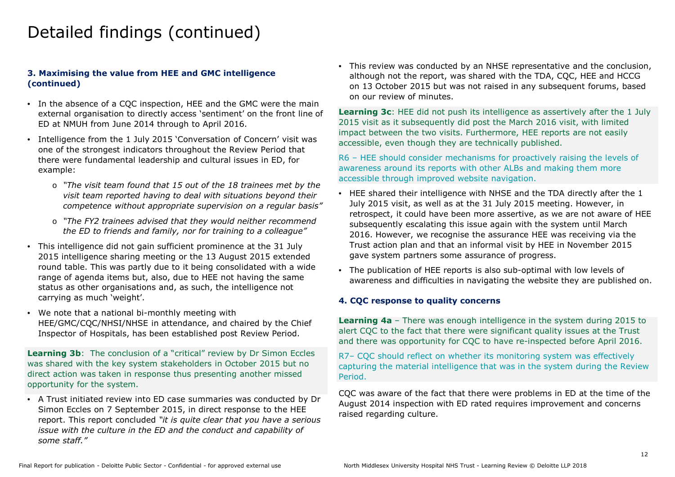## **3. Maximising the value from HEE and GMC intelligence (continued)**

- In the absence of a CQC inspection, HEE and the GMC were the main external organisation to directly access 'sentiment' on the front line of ED at NMUH from June 2014 through to April 2016.
- Intelligence from the 1 July 2015 'Conversation of Concern' visit was one of the strongest indicators throughout the Review Period that there were fundamental leadership and cultural issues in ED, for example:
	- o *"The visit team found that 15 out of the 18 trainees met by the visit team reported having to deal with situations beyond their competence without appropriate supervision on a regular basis"*
	- o *"The FY2 trainees advised that they would neither recommend the ED to friends and family, nor for training to a colleague"*
- This intelligence did not gain sufficient prominence at the 31 July 2015 intelligence sharing meeting or the 13 August 2015 extended round table. This was partly due to it being consolidated with a wide range of agenda items but, also, due to HEE not having the same status as other organisations and, as such, the intelligence not carrying as much 'weight'.
- We note that a national bi-monthly meeting with HEE/GMC/CQC/NHSI/NHSE in attendance, and chaired by the Chief Inspector of Hospitals, has been established post Review Period.

**Learning 3b**: The conclusion of a "critical" review by Dr Simon Eccles was shared with the key system stakeholders in October 2015 but no direct action was taken in response thus presenting another missed opportunity for the system.

• A Trust initiated review into ED case summaries was conducted by Dr Simon Eccles on 7 September 2015, in direct response to the HEE report. This report concluded *"it is quite clear that you have a serious issue with the culture in the ED and the conduct and capability of some staff."*

• This review was conducted by an NHSE representative and the conclusion, although not the report, was shared with the TDA, CQC, HEE and HCCG on 13 October 2015 but was not raised in any subsequent forums, based on our review of minutes.

**Learning 3c**: HEE did not push its intelligence as assertively after the 1 July 2015 visit as it subsequently did post the March 2016 visit, with limited impact between the two visits. Furthermore, HEE reports are not easily accessible, even though they are technically published.

R6 – HEE should consider mechanisms for proactively raising the levels of awareness around its reports with other ALBs and making them more accessible through improved website navigation.

- HEE shared their intelligence with NHSE and the TDA directly after the 1 July 2015 visit, as well as at the 31 July 2015 meeting. However, in retrospect, it could have been more assertive, as we are not aware of HEE subsequently escalating this issue again with the system until March 2016. However, we recognise the assurance HEE was receiving via the Trust action plan and that an informal visit by HEE in November 2015 gave system partners some assurance of progress.
- The publication of HEE reports is also sub-optimal with low levels of awareness and difficulties in navigating the website they are published on.

#### **4. CQC response to quality concerns**

**Learning 4a** – There was enough intelligence in the system during 2015 to alert CQC to the fact that there were significant quality issues at the Trust and there was opportunity for CQC to have re-inspected before April 2016.

R7– CQC should reflect on whether its monitoring system was effectively capturing the material intelligence that was in the system during the Review Period.

CQC was aware of the fact that there were problems in ED at the time of the August 2014 inspection with ED rated requires improvement and concerns raised regarding culture.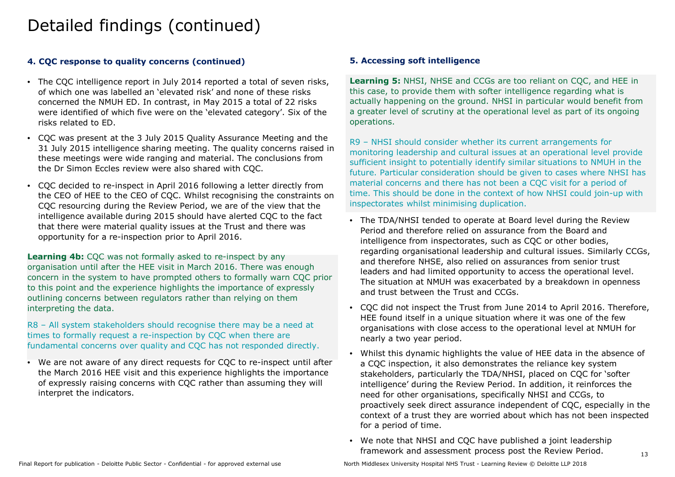## **4. CQC response to quality concerns (continued)**

- The CQC intelligence report in July 2014 reported a total of seven risks, of which one was labelled an 'elevated risk' and none of these risks concerned the NMUH ED. In contrast, in May 2015 a total of 22 risks were identified of which five were on the 'elevated category'. Six of the risks related to ED.
- CQC was present at the 3 July 2015 Quality Assurance Meeting and the 31 July 2015 intelligence sharing meeting. The quality concerns raised in these meetings were wide ranging and material. The conclusions from the Dr Simon Eccles review were also shared with CQC.
- CQC decided to re-inspect in April 2016 following a letter directly from the CEO of HEE to the CEO of CQC. Whilst recognising the constraints on CQC resourcing during the Review Period, we are of the view that the intelligence available during 2015 should have alerted CQC to the fact that there were material quality issues at the Trust and there was opportunity for a re-inspection prior to April 2016.

**Learning 4b:** COC was not formally asked to re-inspect by any organisation until after the HEE visit in March 2016. There was enough concern in the system to have prompted others to formally warn CQC prior to this point and the experience highlights the importance of expressly outlining concerns between regulators rather than relying on them interpreting the data.

R8 – All system stakeholders should recognise there may be a need at times to formally request a re-inspection by CQC when there are fundamental concerns over quality and CQC has not responded directly.

• We are not aware of any direct requests for CQC to re-inspect until after the March 2016 HEE visit and this experience highlights the importance of expressly raising concerns with CQC rather than assuming they will interpret the indicators.

## **5. Accessing soft intelligence**

**Learning 5:** NHSI, NHSE and CCGs are too reliant on COC, and HEE in this case, to provide them with softer intelligence regarding what is actually happening on the ground. NHSI in particular would benefit from a greater level of scrutiny at the operational level as part of its ongoing operations.

R9 – NHSI should consider whether its current arrangements for monitoring leadership and cultural issues at an operational level provide sufficient insight to potentially identify similar situations to NMUH in the future. Particular consideration should be given to cases where NHSI has material concerns and there has not been a CQC visit for a period of time. This should be done in the context of how NHSI could join-up with inspectorates whilst minimising duplication.

- The TDA/NHSI tended to operate at Board level during the Review Period and therefore relied on assurance from the Board and intelligence from inspectorates, such as CQC or other bodies, regarding organisational leadership and cultural issues. Similarly CCGs, and therefore NHSE, also relied on assurances from senior trust leaders and had limited opportunity to access the operational level. The situation at NMUH was exacerbated by a breakdown in openness and trust between the Trust and CCGs.
- CQC did not inspect the Trust from June 2014 to April 2016. Therefore, HEE found itself in a unique situation where it was one of the few organisations with close access to the operational level at NMUH for nearly a two year period.
- Whilst this dynamic highlights the value of HEE data in the absence of a CQC inspection, it also demonstrates the reliance key system stakeholders, particularly the TDA/NHSI, placed on CQC for 'softer intelligence' during the Review Period. In addition, it reinforces the need for other organisations, specifically NHSI and CCGs, to proactively seek direct assurance independent of CQC, especially in the context of a trust they are worried about which has not been inspected for a period of time.
- We note that NHSI and CQC have published a joint leadership framework and assessment process post the Review Period.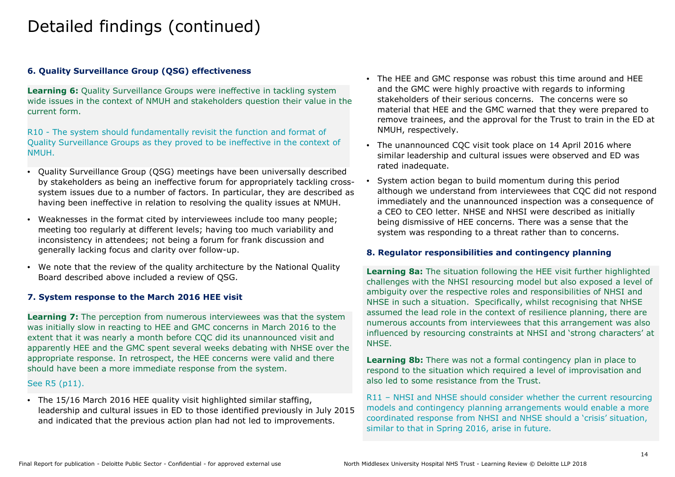## **6. Quality Surveillance Group (QSG) effectiveness**

**Learning 6:** Quality Surveillance Groups were ineffective in tackling system wide issues in the context of NMUH and stakeholders question their value in the current form.

R10 - The system should fundamentally revisit the function and format of Quality Surveillance Groups as they proved to be ineffective in the context of NMUH.

- Quality Surveillance Group (QSG) meetings have been universally described by stakeholders as being an ineffective forum for appropriately tackling crosssystem issues due to a number of factors. In particular, they are described as having been ineffective in relation to resolving the quality issues at NMUH.
- Weaknesses in the format cited by interviewees include too many people; meeting too regularly at different levels; having too much variability and inconsistency in attendees; not being a forum for frank discussion and generally lacking focus and clarity over follow-up.
- We note that the review of the quality architecture by the National Quality Board described above included a review of QSG.

## **7. System response to the March 2016 HEE visit**

Learning 7: The perception from numerous interviewees was that the system was initially slow in reacting to HEE and GMC concerns in March 2016 to the extent that it was nearly a month before CQC did its unannounced visit and apparently HEE and the GMC spent several weeks debating with NHSE over the appropriate response. In retrospect, the HEE concerns were valid and there should have been a more immediate response from the system.

### See R5 (p11).

• The 15/16 March 2016 HEE quality visit highlighted similar staffing, leadership and cultural issues in ED to those identified previously in July 2015 and indicated that the previous action plan had not led to improvements.

- The HEE and GMC response was robust this time around and HEE and the GMC were highly proactive with regards to informing stakeholders of their serious concerns. The concerns were so material that HEE and the GMC warned that they were prepared to remove trainees, and the approval for the Trust to train in the ED at NMUH, respectively.
- The unannounced CQC visit took place on 14 April 2016 where similar leadership and cultural issues were observed and ED was rated inadequate.
- System action began to build momentum during this period although we understand from interviewees that CQC did not respond immediately and the unannounced inspection was a consequence of a CEO to CEO letter. NHSE and NHSI were described as initially being dismissive of HEE concerns. There was a sense that the system was responding to a threat rather than to concerns.

#### **8. Regulator responsibilities and contingency planning**

**Learning 8a:** The situation following the HEE visit further highlighted challenges with the NHSI resourcing model but also exposed a level of ambiguity over the respective roles and responsibilities of NHSI and NHSE in such a situation. Specifically, whilst recognising that NHSE assumed the lead role in the context of resilience planning, there are numerous accounts from interviewees that this arrangement was also influenced by resourcing constraints at NHSI and 'strong characters' at NHSE.

**Learning 8b:** There was not a formal contingency plan in place to respond to the situation which required a level of improvisation and also led to some resistance from the Trust.

R11 – NHSI and NHSE should consider whether the current resourcing models and contingency planning arrangements would enable a more coordinated response from NHSI and NHSE should a 'crisis' situation, similar to that in Spring 2016, arise in future.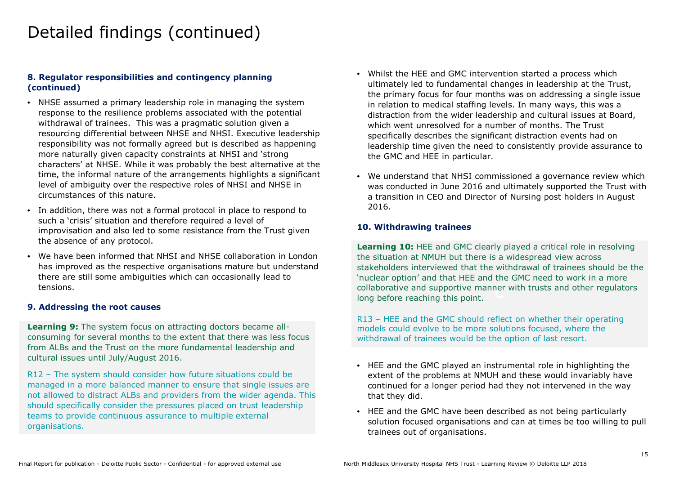### **8. Regulator responsibilities and contingency planning (continued)**

- NHSE assumed a primary leadership role in managing the system response to the resilience problems associated with the potential withdrawal of trainees. This was a pragmatic solution given a resourcing differential between NHSE and NHSI. Executive leadership responsibility was not formally agreed but is described as happening more naturally given capacity constraints at NHSI and 'strong characters' at NHSE. While it was probably the best alternative at the time, the informal nature of the arrangements highlights a significant level of ambiguity over the respective roles of NHSI and NHSE in circumstances of this nature.
- In addition, there was not a formal protocol in place to respond to such a 'crisis' situation and therefore required a level of improvisation and also led to some resistance from the Trust given the absence of any protocol.
- We have been informed that NHSI and NHSE collaboration in London has improved as the respective organisations mature but understand there are still some ambiguities which can occasionally lead to tensions.

#### **9. Addressing the root causes**

**Learning 9:** The system focus on attracting doctors became allconsuming for several months to the extent that there was less focus from ALBs and the Trust on the more fundamental leadership and cultural issues until July/August 2016.

R12 – The system should consider how future situations could be managed in a more balanced manner to ensure that single issues are not allowed to distract ALBs and providers from the wider agenda. This should specifically consider the pressures placed on trust leadership teams to provide continuous assurance to multiple external organisations.

- Whilst the HEE and GMC intervention started a process which ultimately led to fundamental changes in leadership at the Trust, the primary focus for four months was on addressing a single issue in relation to medical staffing levels. In many ways, this was a distraction from the wider leadership and cultural issues at Board, which went unresolved for a number of months. The Trust specifically describes the significant distraction events had on leadership time given the need to consistently provide assurance to the GMC and HEE in particular.
- We understand that NHSI commissioned a governance review which was conducted in June 2016 and ultimately supported the Trust with a transition in CEO and Director of Nursing post holders in August 2016.

### **10. Withdrawing trainees**

collaborative and supportive manner with trusts and other regulators<br>long before reaching this point. **Learning 10:** HEE and GMC clearly played a critical role in resolving the situation at NMUH but there is a widespread view across stakeholders interviewed that the withdrawal of trainees should be the 'nuclear option' and that HEE and the GMC need to work in a more long before reaching this point.

R13 – HEE and the GMC should reflect on whether their operating models could evolve to be more solutions focused, where the withdrawal of trainees would be the option of last resort.

- HEE and the GMC played an instrumental role in highlighting the extent of the problems at NMUH and these would invariably have continued for a longer period had they not intervened in the way that they did.
- HEE and the GMC have been described as not being particularly solution focused organisations and can at times be too willing to pull trainees out of organisations.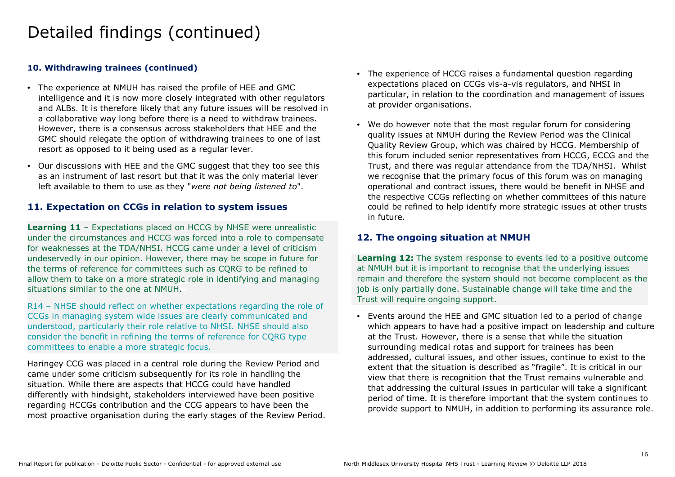### **10. Withdrawing trainees (continued)**

- The experience at NMUH has raised the profile of HEE and GMC intelligence and it is now more closely integrated with other regulators and ALBs. It is therefore likely that any future issues will be resolved in a collaborative way long before there is a need to withdraw trainees. However, there is a consensus across stakeholders that HEE and the GMC should relegate the option of withdrawing trainees to one of last resort as opposed to it being used as a regular lever.
- Our discussions with HEE and the GMC suggest that they too see this as an instrument of last resort but that it was the only material lever left available to them to use as they "*were not being listened to*".

## **11. Expectation on CCGs in relation to system issues**

**C** situations similar to the one at NMUH. **Learning 11** – Expectations placed on HCCG by NHSE were unrealistic under the circumstances and HCCG was forced into a role to compensate for weaknesses at the TDA/NHSI. HCCG came under a level of criticism undeservedly in our opinion. However, there may be scope in future for the terms of reference for committees such as CQRG to be refined to allow them to take on a more strategic role in identifying and managing

R14 – NHSE should reflect on whether expectations regarding the role of CCGs in managing system wide issues are clearly communicated and understood, particularly their role relative to NHSI. NHSE should also consider the benefit in refining the terms of reference for CQRG type committees to enable a more strategic focus.

Haringey CCG was placed in a central role during the Review Period and came under some criticism subsequently for its role in handling the situation. While there are aspects that HCCG could have handled differently with hindsight, stakeholders interviewed have been positive regarding HCCGs contribution and the CCG appears to have been the most proactive organisation during the early stages of the Review Period.

- The experience of HCCG raises a fundamental question regarding expectations placed on CCGs vis-a-vis regulators, and NHSI in particular, in relation to the coordination and management of issues at provider organisations.
- We do however note that the most regular forum for considering quality issues at NMUH during the Review Period was the Clinical Quality Review Group, which was chaired by HCCG. Membership of this forum included senior representatives from HCCG, ECCG and the Trust, and there was regular attendance from the TDA/NHSI. Whilst we recognise that the primary focus of this forum was on managing operational and contract issues, there would be benefit in NHSE and the respective CCGs reflecting on whether committees of this nature could be refined to help identify more strategic issues at other trusts in future.

## **12. The ongoing situation at NMUH**

remain and therefore the system should not become complacent as the **Learning 12:** The system response to events led to a positive outcome at NMUH but it is important to recognise that the underlying issues job is only partially done. Sustainable change will take time and the Trust will require ongoing support.

• Events around the HEE and GMC situation led to a period of change which appears to have had a positive impact on leadership and culture at the Trust. However, there is a sense that while the situation surrounding medical rotas and support for trainees has been addressed, cultural issues, and other issues, continue to exist to the extent that the situation is described as "fragile". It is critical in our view that there is recognition that the Trust remains vulnerable and that addressing the cultural issues in particular will take a significant period of time. It is therefore important that the system continues to provide support to NMUH, in addition to performing its assurance role.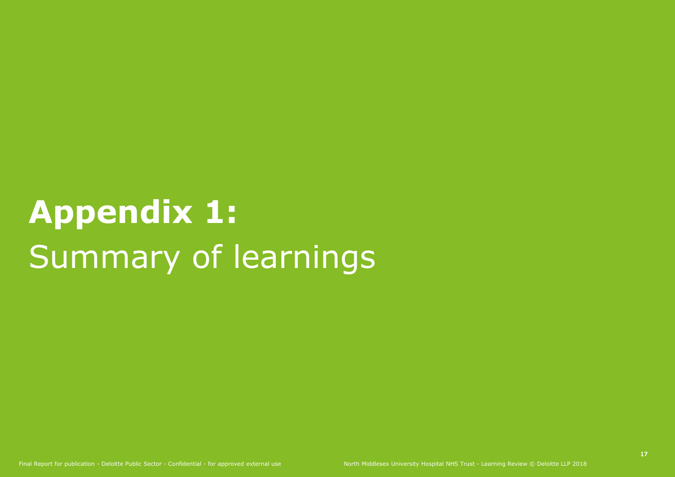# **Appendix 1:** Summary of learnings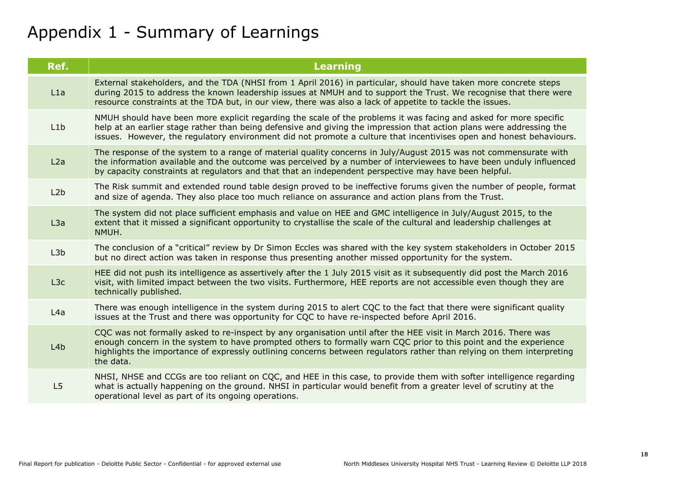## Appendix 1 - Summary of Learnings

| Ref. | <b>Learning</b>                                                                                                                                                                                                                                                                                                                                                           |
|------|---------------------------------------------------------------------------------------------------------------------------------------------------------------------------------------------------------------------------------------------------------------------------------------------------------------------------------------------------------------------------|
| L1a  | External stakeholders, and the TDA (NHSI from 1 April 2016) in particular, should have taken more concrete steps<br>during 2015 to address the known leadership issues at NMUH and to support the Trust. We recognise that there were<br>resource constraints at the TDA but, in our view, there was also a lack of appetite to tackle the issues.                        |
| L1b  | NMUH should have been more explicit regarding the scale of the problems it was facing and asked for more specific<br>help at an earlier stage rather than being defensive and giving the impression that action plans were addressing the<br>issues. However, the regulatory environment did not promote a culture that incentivises open and honest behaviours.          |
| L2a  | The response of the system to a range of material quality concerns in July/August 2015 was not commensurate with<br>the information available and the outcome was perceived by a number of interviewees to have been unduly influenced<br>by capacity constraints at regulators and that that an independent perspective may have been helpful.                           |
| L2b  | The Risk summit and extended round table design proved to be ineffective forums given the number of people, format<br>and size of agenda. They also place too much reliance on assurance and action plans from the Trust.                                                                                                                                                 |
| L3a  | The system did not place sufficient emphasis and value on HEE and GMC intelligence in July/August 2015, to the<br>extent that it missed a significant opportunity to crystallise the scale of the cultural and leadership challenges at<br>NMUH.                                                                                                                          |
| L3b  | The conclusion of a "critical" review by Dr Simon Eccles was shared with the key system stakeholders in October 2015<br>but no direct action was taken in response thus presenting another missed opportunity for the system.                                                                                                                                             |
| L3c  | HEE did not push its intelligence as assertively after the 1 July 2015 visit as it subsequently did post the March 2016<br>visit, with limited impact between the two visits. Furthermore, HEE reports are not accessible even though they are<br>technically published.                                                                                                  |
| L4a  | There was enough intelligence in the system during 2015 to alert CQC to the fact that there were significant quality<br>issues at the Trust and there was opportunity for CQC to have re-inspected before April 2016.                                                                                                                                                     |
| L4b  | CQC was not formally asked to re-inspect by any organisation until after the HEE visit in March 2016. There was<br>enough concern in the system to have prompted others to formally warn CQC prior to this point and the experience<br>highlights the importance of expressly outlining concerns between regulators rather than relying on them interpreting<br>the data. |
| L5   | NHSI, NHSE and CCGs are too reliant on CQC, and HEE in this case, to provide them with softer intelligence regarding<br>what is actually happening on the ground. NHSI in particular would benefit from a greater level of scrutiny at the<br>operational level as part of its ongoing operations.                                                                        |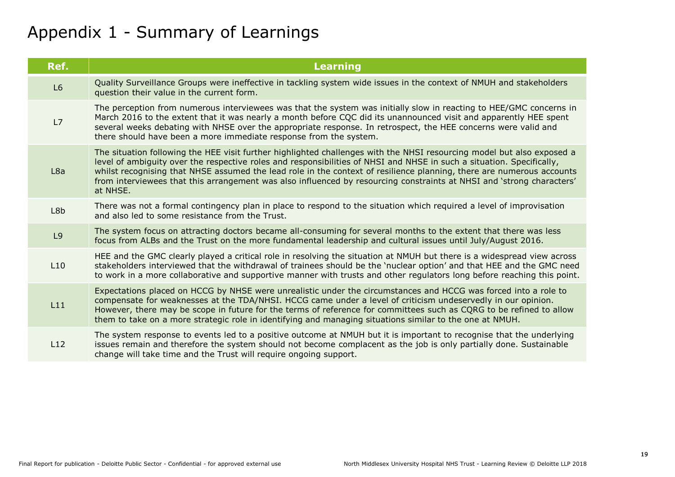## Appendix 1 - Summary of Learnings

| Ref. | <b>Learning</b>                                                                                                                                                                                                                                                                                                                                                                                                                                                                                               |
|------|---------------------------------------------------------------------------------------------------------------------------------------------------------------------------------------------------------------------------------------------------------------------------------------------------------------------------------------------------------------------------------------------------------------------------------------------------------------------------------------------------------------|
| L6   | Quality Surveillance Groups were ineffective in tackling system wide issues in the context of NMUH and stakeholders<br>question their value in the current form.                                                                                                                                                                                                                                                                                                                                              |
| L7   | The perception from numerous interviewees was that the system was initially slow in reacting to HEE/GMC concerns in<br>March 2016 to the extent that it was nearly a month before CQC did its unannounced visit and apparently HEE spent<br>several weeks debating with NHSE over the appropriate response. In retrospect, the HEE concerns were valid and<br>there should have been a more immediate response from the system.                                                                               |
| L8a  | The situation following the HEE visit further highlighted challenges with the NHSI resourcing model but also exposed a<br>level of ambiguity over the respective roles and responsibilities of NHSI and NHSE in such a situation. Specifically,<br>whilst recognising that NHSE assumed the lead role in the context of resilience planning, there are numerous accounts<br>from interviewees that this arrangement was also influenced by resourcing constraints at NHSI and 'strong characters'<br>at NHSE. |
| L8b  | There was not a formal contingency plan in place to respond to the situation which required a level of improvisation<br>and also led to some resistance from the Trust.                                                                                                                                                                                                                                                                                                                                       |
| L9   | The system focus on attracting doctors became all-consuming for several months to the extent that there was less<br>focus from ALBs and the Trust on the more fundamental leadership and cultural issues until July/August 2016.                                                                                                                                                                                                                                                                              |
| L10  | HEE and the GMC clearly played a critical role in resolving the situation at NMUH but there is a widespread view across<br>stakeholders interviewed that the withdrawal of trainees should be the 'nuclear option' and that HEE and the GMC need<br>to work in a more collaborative and supportive manner with trusts and other regulators long before reaching this point.                                                                                                                                   |
| L11  | Expectations placed on HCCG by NHSE were unrealistic under the circumstances and HCCG was forced into a role to<br>compensate for weaknesses at the TDA/NHSI. HCCG came under a level of criticism undeservedly in our opinion.<br>However, there may be scope in future for the terms of reference for committees such as CQRG to be refined to allow<br>them to take on a more strategic role in identifying and managing situations similar to the one at NMUH.                                            |
| L12  | The system response to events led to a positive outcome at NMUH but it is important to recognise that the underlying<br>issues remain and therefore the system should not become complacent as the job is only partially done. Sustainable<br>change will take time and the Trust will require ongoing support.                                                                                                                                                                                               |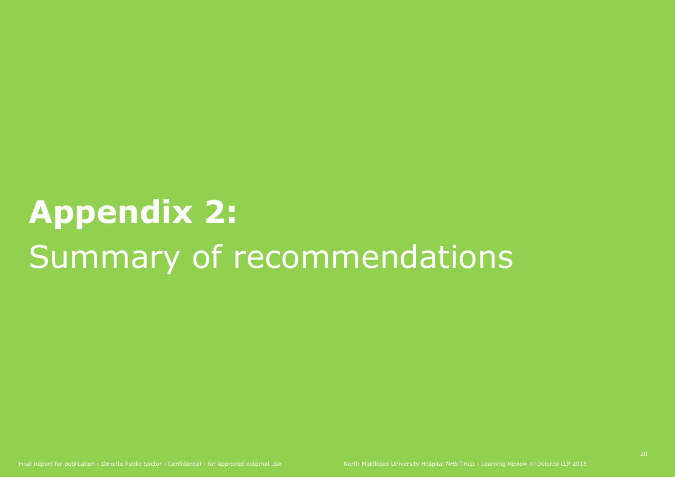# **Appendix 2:** Summary of recommendations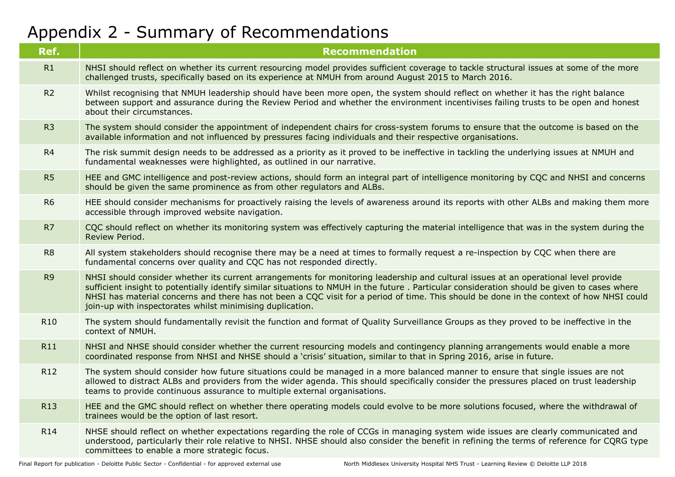## Appendix 2 - Summary of Recommendations

| Ref.            | <b>Recommendation</b>                                                                                                                                                                                                                                                                                                                                                                                                                                                                        |
|-----------------|----------------------------------------------------------------------------------------------------------------------------------------------------------------------------------------------------------------------------------------------------------------------------------------------------------------------------------------------------------------------------------------------------------------------------------------------------------------------------------------------|
| R1              | NHSI should reflect on whether its current resourcing model provides sufficient coverage to tackle structural issues at some of the more<br>challenged trusts, specifically based on its experience at NMUH from around August 2015 to March 2016.                                                                                                                                                                                                                                           |
| R <sub>2</sub>  | Whilst recognising that NMUH leadership should have been more open, the system should reflect on whether it has the right balance<br>between support and assurance during the Review Period and whether the environment incentivises failing trusts to be open and honest<br>about their circumstances.                                                                                                                                                                                      |
| R <sub>3</sub>  | The system should consider the appointment of independent chairs for cross-system forums to ensure that the outcome is based on the<br>available information and not influenced by pressures facing individuals and their respective organisations.                                                                                                                                                                                                                                          |
| R4              | The risk summit design needs to be addressed as a priority as it proved to be ineffective in tackling the underlying issues at NMUH and<br>fundamental weaknesses were highlighted, as outlined in our narrative.                                                                                                                                                                                                                                                                            |
| R5              | HEE and GMC intelligence and post-review actions, should form an integral part of intelligence monitoring by CQC and NHSI and concerns<br>should be given the same prominence as from other regulators and ALBs.                                                                                                                                                                                                                                                                             |
| R <sub>6</sub>  | HEE should consider mechanisms for proactively raising the levels of awareness around its reports with other ALBs and making them more<br>accessible through improved website navigation.                                                                                                                                                                                                                                                                                                    |
| R7              | CQC should reflect on whether its monitoring system was effectively capturing the material intelligence that was in the system during the<br>Review Period.                                                                                                                                                                                                                                                                                                                                  |
| R <sub>8</sub>  | All system stakeholders should recognise there may be a need at times to formally request a re-inspection by CQC when there are<br>fundamental concerns over quality and CQC has not responded directly.                                                                                                                                                                                                                                                                                     |
| R <sub>9</sub>  | NHSI should consider whether its current arrangements for monitoring leadership and cultural issues at an operational level provide<br>sufficient insight to potentially identify similar situations to NMUH in the future. Particular consideration should be given to cases where<br>NHSI has material concerns and there has not been a CQC visit for a period of time. This should be done in the context of how NHSI could<br>join-up with inspectorates whilst minimising duplication. |
| R <sub>10</sub> | The system should fundamentally revisit the function and format of Quality Surveillance Groups as they proved to be ineffective in the<br>context of NMUH.                                                                                                                                                                                                                                                                                                                                   |
| <b>R11</b>      | NHSI and NHSE should consider whether the current resourcing models and contingency planning arrangements would enable a more<br>coordinated response from NHSI and NHSE should a 'crisis' situation, similar to that in Spring 2016, arise in future.                                                                                                                                                                                                                                       |
| R12             | The system should consider how future situations could be managed in a more balanced manner to ensure that single issues are not<br>allowed to distract ALBs and providers from the wider agenda. This should specifically consider the pressures placed on trust leadership<br>teams to provide continuous assurance to multiple external organisations.                                                                                                                                    |
| R <sub>13</sub> | HEE and the GMC should reflect on whether there operating models could evolve to be more solutions focused, where the withdrawal of<br>trainees would be the option of last resort.                                                                                                                                                                                                                                                                                                          |
| R14             | NHSE should reflect on whether expectations regarding the role of CCGs in managing system wide issues are clearly communicated and<br>understood, particularly their role relative to NHSI. NHSE should also consider the benefit in refining the terms of reference for CQRG type<br>committees to enable a more strategic focus.                                                                                                                                                           |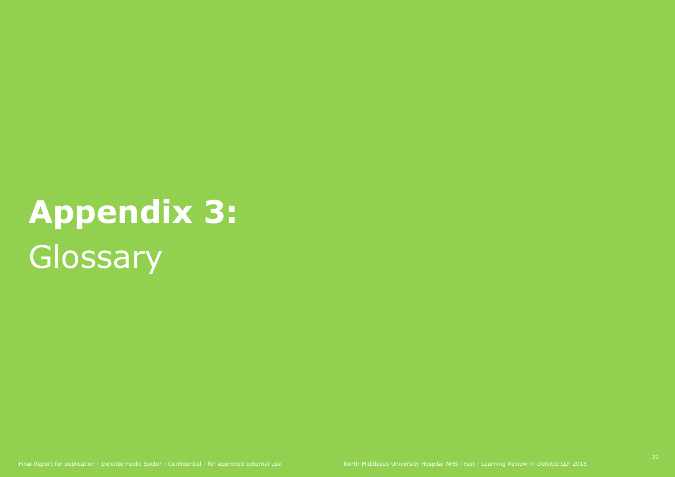# **Appendix 3: Glossary**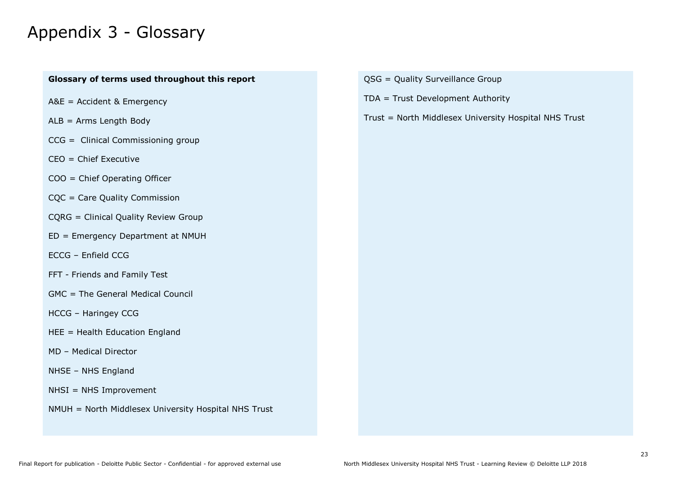## Appendix 3 - Glossary

## **Glossary of terms used throughout this report**

- A&E = Accident & Emergency
- ALB = Arms Length Body
- CCG = Clinical Commissioning group
- CEO = Chief Executive
- COO = Chief Operating Officer
- CQC = Care Quality Commission
- CQRG = Clinical Quality Review Group
- ED = Emergency Department at NMUH
- ECCG Enfield CCG
- FFT Friends and Family Test
- GMC = The General Medical Council
- HCCG Haringey CCG
- HEE = Health Education England
- MD Medical Director
- NHSE NHS England
- NHSI = NHS Improvement
- NMUH = North Middlesex University Hospital NHS Trust
- QSG = Quality Surveillance Group
- TDA = Trust Development Authority
- Trust = North Middlesex University Hospital NHS Trust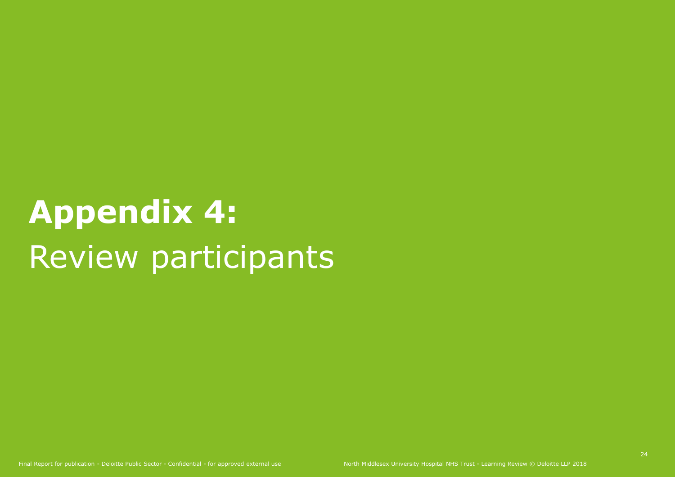# **Appendix 4:** Review participants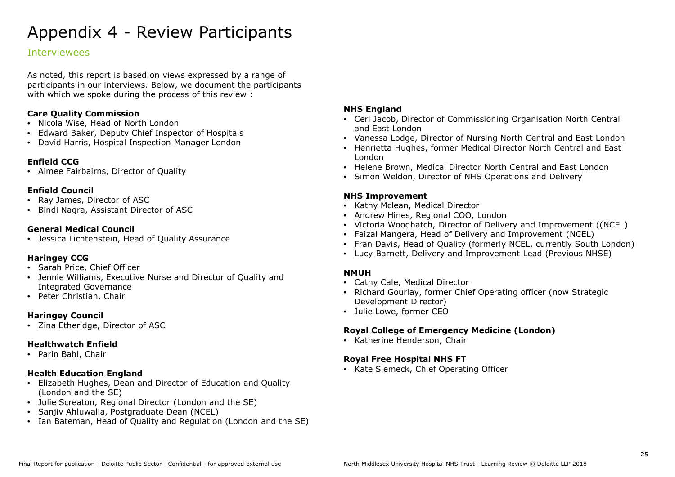## Appendix 4 - Review Participants

## Interviewees

As noted, this report is based on views expressed by a range of participants in our interviews. Below, we document the participants with which we spoke during the process of this review :

#### **Care Quality Commission**

- Nicola Wise, Head of North London
- Edward Baker, Deputy Chief Inspector of Hospitals
- David Harris, Hospital Inspection Manager London

## **Enfield CCG**

• Aimee Fairbairns, Director of Quality

## **Enfield Council**

- Ray James, Director of ASC
- Bindi Nagra, Assistant Director of ASC

## **General Medical Council**

• Jessica Lichtenstein, Head of Quality Assurance

## **Haringey CCG**

- Sarah Price, Chief Officer
- Jennie Williams, Executive Nurse and Director of Quality and Integrated Governance
- Peter Christian, Chair

## **Haringey Council**

• Zina Etheridge, Director of ASC

## **Healthwatch Enfield**

• Parin Bahl, Chair

#### **Health Education England**

- Elizabeth Hughes, Dean and Director of Education and Quality (London and the SE)
- Julie Screaton, Regional Director (London and the SE)
- Sanjiv Ahluwalia, Postgraduate Dean (NCEL)
- Ian Bateman, Head of Quality and Regulation (London and the SE)

#### **NHS England**

- Ceri Jacob, Director of Commissioning Organisation North Central and East London
- Vanessa Lodge, Director of Nursing North Central and East London
- Henrietta Hughes, former Medical Director North Central and East London
- Helene Brown, Medical Director North Central and East London
- Simon Weldon, Director of NHS Operations and Delivery

## **NHS Improvement**

- Kathy Mclean, Medical Director
- Andrew Hines, Regional COO, London
- Victoria Woodhatch, Director of Delivery and Improvement ((NCEL)
- Faizal Mangera, Head of Delivery and Improvement (NCEL)
- Fran Davis, Head of Quality (formerly NCEL, currently South London)
- Lucy Barnett, Delivery and Improvement Lead (Previous NHSE)

## **NMUH**

- Cathy Cale, Medical Director
- Richard Gourlay, former Chief Operating officer (now Strategic Development Director)
- Julie Lowe, former CEO

## **Royal College of Emergency Medicine (London)**

• Katherine Henderson, Chair

## **Royal Free Hospital NHS FT**

• Kate Slemeck, Chief Operating Officer